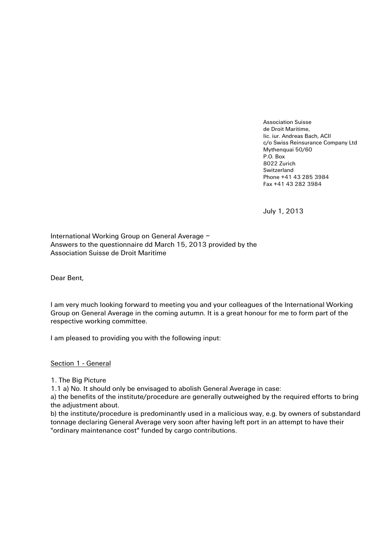Association Suisse de Droit Maritime, lic. iur. Andreas Bach, ACII c/o Swiss Reinsurance Company Ltd Mythenquai 50/60 P.O. Box 8022 Zurich Switzerland Phone +41 43 285 3984 Fax +41 43 282 3984

July 1, 2013

International Working Group on General Average – Answers to the questionnaire dd March 15, 2013 provided by the Association Suisse de Droit Maritime

Dear Bent,

I am very much looking forward to meeting you and your colleagues of the International Working Group on General Average in the coming autumn. It is a great honour for me to form part of the respective working committee.

I am pleased to providing you with the following input:

Section 1 - General

1. The Big Picture

1.1 a) No. It should only be envisaged to abolish General Average in case:

a) the benefits of the institute/procedure are generally outweighed by the required efforts to bring the adjustment about.

b) the institute/procedure is predominantly used in a malicious way, e.g. by owners of substandard tonnage declaring General Average very soon after having left port in an attempt to have their "ordinary maintenance cost" funded by cargo contributions.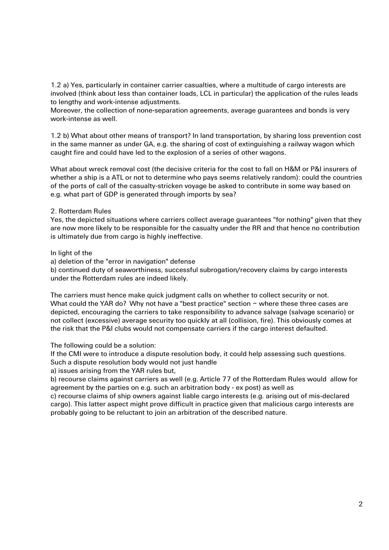1.2 a) Yes, particularly in container carrier casualties, where a multitude of cargo interests are involved (think about less than container loads, LCL in particular) the application of the rules leads to lengthy and work-intense adjustments.

Moreover, the collection of none-separation agreements, average guarantees and bonds is very work-intense as well.

1.2 b) What about other means of transport? In land transportation, by sharing loss prevention cost in the same manner as under GA, e.g. the sharing of cost of extinguishing a railway wagon which caught fire and could have led to the explosion of a series of other wagons.

What about wreck removal cost (the decisive criteria for the cost to fall on H&M or P&I insurers of whether a ship is a ATL or not to determine who pays seems relatively random): could the countries of the ports of call of the casualty-stricken voyage be asked to contribute in some way based on e.g. what part of GDP is generated through imports by sea?

## 2. Rotterdam Rules

Yes, the depicted situations where carriers collect average guarantees "for nothing" given that they are now more likely to be responsible for the casualty under the RR and that hence no contribution is ultimately due from cargo is highly ineffective.

## In light of the

a) deletion of the "error in navigation" defense

b) continued duty of seaworthiness, successful subrogation/recovery claims by cargo interests under the Rotterdam rules are indeed likely.

The carriers must hence make quick judgment calls on whether to collect security or not. What could the YAR do? Why not have a "best practice" section - where these three cases are depicted, encouraging the carriers to take responsibility to advance salvage (salvage scenario) or not collect (excessive) average security too quickly at all (collision, fire). This obviously comes at the risk that the P&I clubs would not compensate carriers if the cargo interest defaulted.

The following could be a solution:

If the CMI were to introduce a dispute resolution body, it could help assessing such questions. Such a dispute resolution body would not just handle

a) issues arising from the YAR rules but,

b) recourse claims against carriers as well (e.g. Article 77 of the Rotterdam Rules would allow for agreement by the parties on e.g. such an arbitration body - ex post) as well as

c) recourse claims of ship owners against liable cargo interests (e.g. arising out of mis-declared cargo). This latter aspect might prove difficult in practice given that malicious cargo interests are probably going to be reluctant to join an arbitration of the described nature.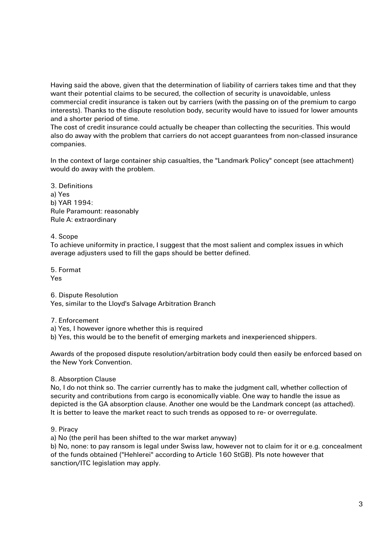Having said the above, given that the determination of liability of carriers takes time and that they want their potential claims to be secured, the collection of security is unavoidable, unless commercial credit insurance is taken out by carriers (with the passing on of the premium to cargo interests). Thanks to the dispute resolution body, security would have to issued for lower amounts and a shorter period of time.

The cost of credit insurance could actually be cheaper than collecting the securities. This would also do away with the problem that carriers do not accept guarantees from non-classed insurance companies.

In the context of large container ship casualties, the "Landmark Policy" concept (see attachment) would do away with the problem.

3. Definitions a) Yes b) YAR 1994: Rule Paramount: reasonably Rule A: extraordinary

4. Scope

To achieve uniformity in practice, I suggest that the most salient and complex issues in which average adjusters used to fill the gaps should be better defined.

5. Format Yes

6. Dispute Resolution

Yes, similar to the Lloyd's Salvage Arbitration Branch

7. Enforcement

a) Yes, I however ignore whether this is required

b) Yes, this would be to the benefit of emerging markets and inexperienced shippers.

Awards of the proposed dispute resolution/arbitration body could then easily be enforced based on the New York Convention.

## 8. Absorption Clause

No, I do not think so. The carrier currently has to make the judgment call, whether collection of security and contributions from cargo is economically viable. One way to handle the issue as depicted is the GA absorption clause. Another one would be the Landmark concept (as attached). It is better to leave the market react to such trends as opposed to re- or overregulate.

9. Piracy

a) No (the peril has been shifted to the war market anyway)

b) No, none: to pay ransom is legal under Swiss law, however not to claim for it or e.g. concealment of the funds obtained ("Hehlerei" according to Article 160 StGB). Pls note however that sanction/ITC legislation may apply.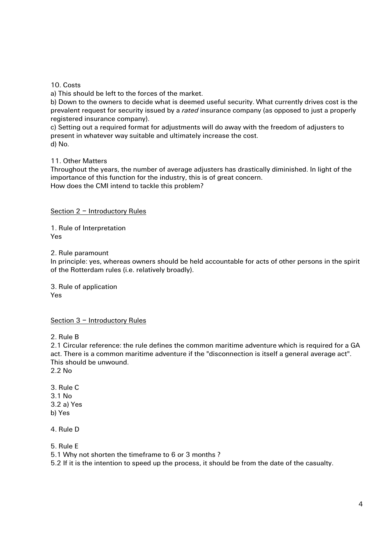10. Costs

a) This should be left to the forces of the market.

b) Down to the owners to decide what is deemed useful security. What currently drives cost is the prevalent request for security issued by a *rated* insurance company (as opposed to just a properly registered insurance company).

c) Setting out a required format for adjustments will do away with the freedom of adjusters to present in whatever way suitable and ultimately increase the cost.

d) No.

11. Other Matters

Throughout the years, the number of average adjusters has drastically diminished. In light of the importance of this function for the industry, this is of great concern. How does the CMI intend to tackle this problem?

Section 2 – Introductory Rules

1. Rule of Interpretation Yes

2. Rule paramount

In principle: yes, whereas owners should be held accountable for acts of other persons in the spirit of the Rotterdam rules (i.e. relatively broadly).

3. Rule of application Yes

Section 3 – Introductory Rules

2. Rule B

2.1 Circular reference: the rule defines the common maritime adventure which is required for a GA act. There is a common maritime adventure if the "disconnection is itself a general average act". This should be unwound.

- 2.2 No
- 3. Rule C 3.1 No 3.2 a) Yes b) Yes
- 4. Rule D

5. Rule E

5.1 Why not shorten the timeframe to 6 or 3 months ?

5.2 If it is the intention to speed up the process, it should be from the date of the casualty.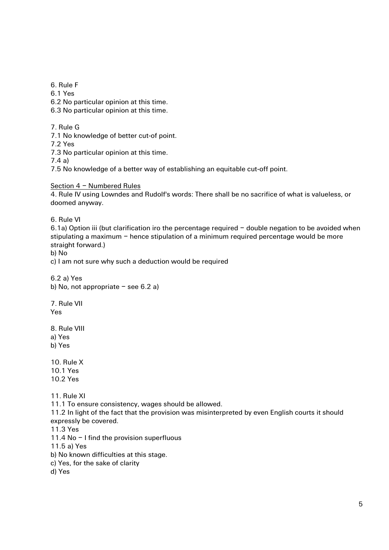6. Rule F

6.1 Yes

6.2 No particular opinion at this time.

6.3 No particular opinion at this time.

7. Rule G

7.1 No knowledge of better cut-of point.

7.2 Yes

7.3 No particular opinion at this time.

7.4 a)

7.5 No knowledge of a better way of establishing an equitable cut-off point.

Section 4 – Numbered Rules

4. Rule IV using Lowndes and Rudolf's words: There shall be no sacrifice of what is valueless, or doomed anyway.

6. Rule VI

6.1a) Option iii (but clarification iro the percentage required – double negation to be avoided when stipulating a maximum – hence stipulation of a minimum required percentage would be more straight forward.)

b) No

c) I am not sure why such a deduction would be required

6.2 a) Yes b) No, not appropriate  $-$  see 6.2 a)

7. Rule VII Yes

8. Rule VIII a) Yes b) Yes

10. Rule X 10.1 Yes 10.2 Yes

11. Rule XI

11.1 To ensure consistency, wages should be allowed.

11.2 In light of the fact that the provision was misinterpreted by even English courts it should expressly be covered.

11.3 Yes

11.4 No - I find the provision superfluous

11.5 a) Yes

b) No known difficulties at this stage.

c) Yes, for the sake of clarity

d) Yes